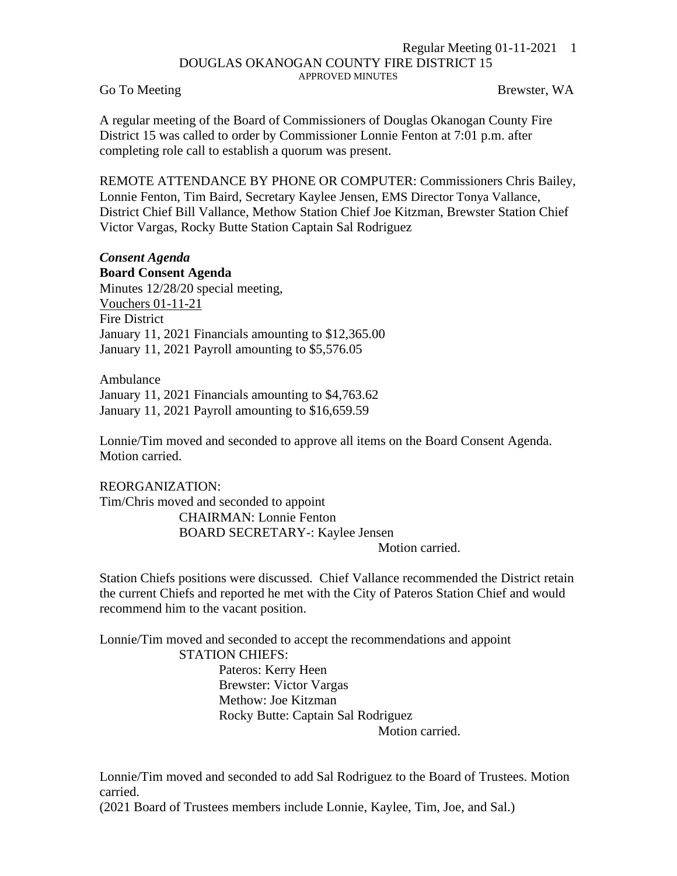## Regular Meeting 01-11-2021 1 DOUGLAS OKANOGAN COUNTY FIRE DISTRICT 15 APPROVED MINUTES

Go To Meeting Brewster, WA

A regular meeting of the Board of Commissioners of Douglas Okanogan County Fire District 15 was called to order by Commissioner Lonnie Fenton at 7:01 p.m. after completing role call to establish a quorum was present.

REMOTE ATTENDANCE BY PHONE OR COMPUTER: Commissioners Chris Bailey, Lonnie Fenton, Tim Baird, Secretary Kaylee Jensen, EMS Director Tonya Vallance, District Chief Bill Vallance, Methow Station Chief Joe Kitzman, Brewster Station Chief Victor Vargas, Rocky Butte Station Captain Sal Rodriguez

## *Consent Agenda*

**Board Consent Agenda** Minutes 12/28/20 special meeting, Vouchers 01-11-21 Fire District January 11, 2021 Financials amounting to \$12,365.00 January 11, 2021 Payroll amounting to \$5,576.05

Ambulance January 11, 2021 Financials amounting to \$4,763.62 January 11, 2021 Payroll amounting to \$16,659.59

Lonnie/Tim moved and seconded to approve all items on the Board Consent Agenda. Motion carried.

REORGANIZATION: Tim/Chris moved and seconded to appoint CHAIRMAN: Lonnie Fenton BOARD SECRETARY-: Kaylee Jensen Motion carried.

Station Chiefs positions were discussed. Chief Vallance recommended the District retain the current Chiefs and reported he met with the City of Pateros Station Chief and would recommend him to the vacant position.

Lonnie/Tim moved and seconded to accept the recommendations and appoint STATION CHIEFS:

> Pateros: Kerry Heen Brewster: Victor Vargas Methow: Joe Kitzman Rocky Butte: Captain Sal Rodriguez

Motion carried.

Lonnie/Tim moved and seconded to add Sal Rodriguez to the Board of Trustees. Motion carried.

(2021 Board of Trustees members include Lonnie, Kaylee, Tim, Joe, and Sal.)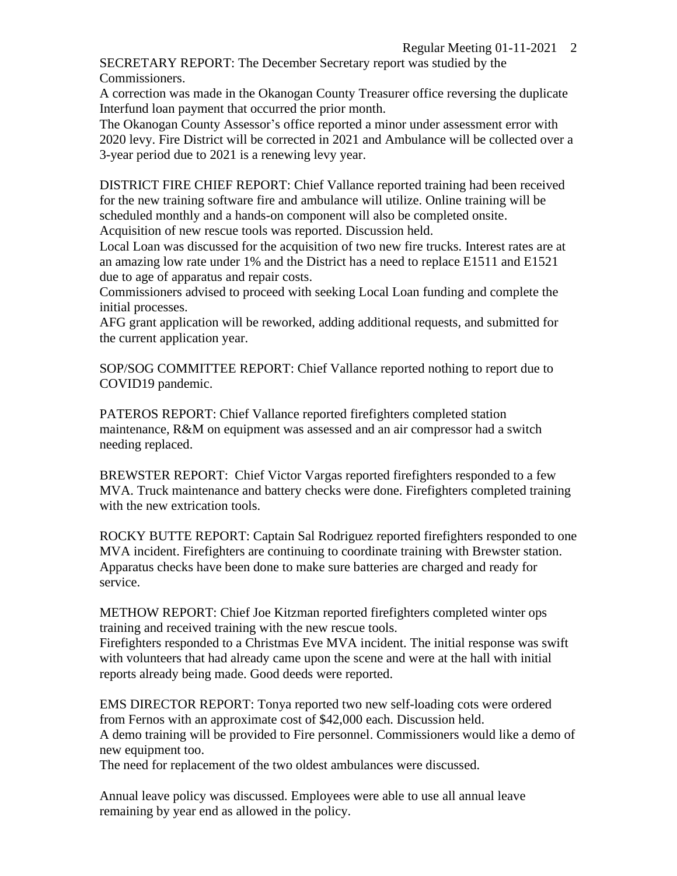SECRETARY REPORT: The December Secretary report was studied by the Commissioners.

A correction was made in the Okanogan County Treasurer office reversing the duplicate Interfund loan payment that occurred the prior month.

The Okanogan County Assessor's office reported a minor under assessment error with 2020 levy. Fire District will be corrected in 2021 and Ambulance will be collected over a 3-year period due to 2021 is a renewing levy year.

DISTRICT FIRE CHIEF REPORT: Chief Vallance reported training had been received for the new training software fire and ambulance will utilize. Online training will be scheduled monthly and a hands-on component will also be completed onsite. Acquisition of new rescue tools was reported. Discussion held.

Local Loan was discussed for the acquisition of two new fire trucks. Interest rates are at an amazing low rate under 1% and the District has a need to replace E1511 and E1521 due to age of apparatus and repair costs.

Commissioners advised to proceed with seeking Local Loan funding and complete the initial processes.

AFG grant application will be reworked, adding additional requests, and submitted for the current application year.

SOP/SOG COMMITTEE REPORT: Chief Vallance reported nothing to report due to COVID19 pandemic.

PATEROS REPORT: Chief Vallance reported firefighters completed station maintenance, R&M on equipment was assessed and an air compressor had a switch needing replaced.

BREWSTER REPORT: Chief Victor Vargas reported firefighters responded to a few MVA. Truck maintenance and battery checks were done. Firefighters completed training with the new extrication tools.

ROCKY BUTTE REPORT: Captain Sal Rodriguez reported firefighters responded to one MVA incident. Firefighters are continuing to coordinate training with Brewster station. Apparatus checks have been done to make sure batteries are charged and ready for service.

METHOW REPORT: Chief Joe Kitzman reported firefighters completed winter ops training and received training with the new rescue tools.

Firefighters responded to a Christmas Eve MVA incident. The initial response was swift with volunteers that had already came upon the scene and were at the hall with initial reports already being made. Good deeds were reported.

EMS DIRECTOR REPORT: Tonya reported two new self-loading cots were ordered from Fernos with an approximate cost of \$42,000 each. Discussion held. A demo training will be provided to Fire personnel. Commissioners would like a demo of new equipment too.

The need for replacement of the two oldest ambulances were discussed.

Annual leave policy was discussed. Employees were able to use all annual leave remaining by year end as allowed in the policy.